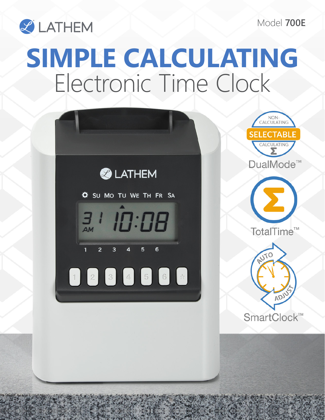Model **700E**



## **SIMPLE CALCULATING** Electronic Time Clock